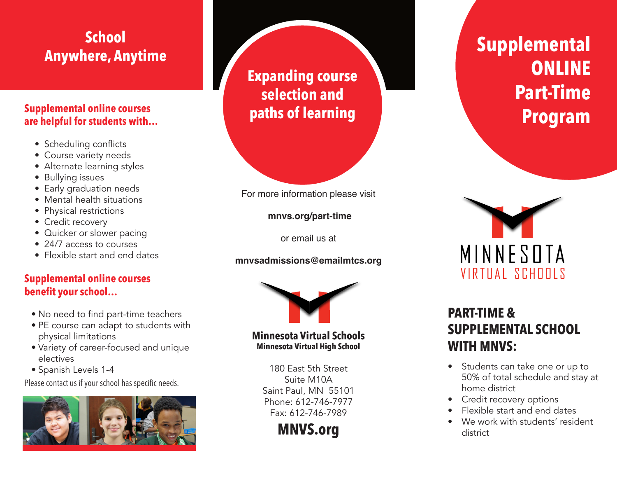# **School Anywhere, Anytime**

### **Supplemental online courses are helpful for students with…**

- Scheduling conflicts
- Course variety needs
- Alternate learning styles
- Bullying issues
- Early graduation needs
- Mental health situations
- Physical restrictions
- Credit recovery
- Quicker or slower pacing
- 24/7 access to courses
- Flexible start and end dates

## **Supplemental online courses benefit your school…**

- No need to find part-time teachers
- PE course can adapt to students with physical limitations
- Variety of career-focused and unique electives
- Spanish Levels 1-4

Please contact us if your school has specific needs.



**Expanding course selection and paths of learning**



**mnvs.org/part-time**

or email us at

### **mnvsadmissions@emailmtcs.org**



#### **Minnesota Virtual Schools**<br>Minnesota Virtual High School **Minnesota Virtual High School**

180 East 5th Street Suite M10A Saint Paul, MN 55101 Phone: 612-746-7977 Fax: 612-746-7989 VIRTUAL SCHOOLS

**MNVS.org**

# **Supplemental ONLINE Part-Time Program**



# **PART-TIME & SUPPLEMENTAL SCHOOL WITH MNVS:**

- Students can take one or up to 50% of total schedule and stay at home district
- Credit recovery options
- Flexible start and end dates
- We work with students' resident district